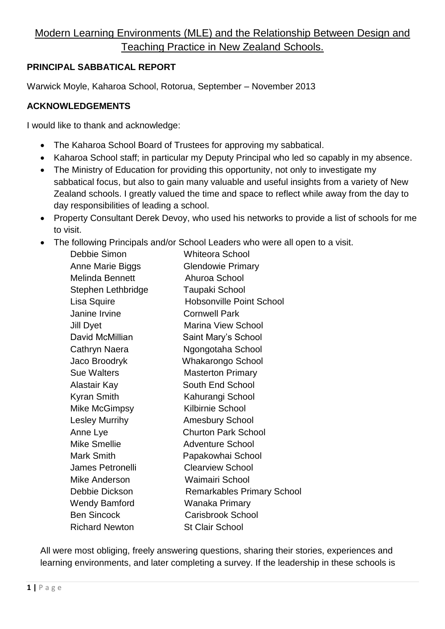# Modern Learning Environments (MLE) and the Relationship Between Design and Teaching Practice in New Zealand Schools.

# **PRINCIPAL SABBATICAL REPORT**

Warwick Moyle, Kaharoa School, Rotorua, September – November 2013

### **ACKNOWLEDGEMENTS**

I would like to thank and acknowledge:

- The Kaharoa School Board of Trustees for approving my sabbatical.
- Kaharoa School staff; in particular my Deputy Principal who led so capably in my absence.
- The Ministry of Education for providing this opportunity, not only to investigate my sabbatical focus, but also to gain many valuable and useful insights from a variety of New Zealand schools. I greatly valued the time and space to reflect while away from the day to day responsibilities of leading a school.
- Property Consultant Derek Devoy, who used his networks to provide a list of schools for me to visit.
- The following Principals and/or School Leaders who were all open to a visit.

| Debbie Simon           | <b>Whiteora School</b>            |
|------------------------|-----------------------------------|
| Anne Marie Biggs       | <b>Glendowie Primary</b>          |
| <b>Melinda Bennett</b> | Ahuroa School                     |
| Stephen Lethbridge     | Taupaki School                    |
| Lisa Squire            | <b>Hobsonville Point School</b>   |
| Janine Irvine          | <b>Cornwell Park</b>              |
| Jill Dyet              | <b>Marina View School</b>         |
| David McMillian        | Saint Mary's School               |
| <b>Cathryn Naera</b>   | Ngongotaha School                 |
| Jaco Broodryk          | Whakarongo School                 |
| <b>Sue Walters</b>     | <b>Masterton Primary</b>          |
| Alastair Kay           | South End School                  |
| Kyran Smith            | Kahurangi School                  |
| <b>Mike McGimpsy</b>   | <b>Kilbirnie School</b>           |
| <b>Lesley Murrihy</b>  | <b>Amesbury School</b>            |
| Anne Lye               | <b>Churton Park School</b>        |
| <b>Mike Smellie</b>    | <b>Adventure School</b>           |
| <b>Mark Smith</b>      | Papakowhai School                 |
| James Petronelli       | <b>Clearview School</b>           |
| Mike Anderson          | <b>Waimairi School</b>            |
| Debbie Dickson         | <b>Remarkables Primary School</b> |
| <b>Wendy Bamford</b>   | Wanaka Primary                    |
| <b>Ben Sincock</b>     | <b>Carisbrook School</b>          |
| <b>Richard Newton</b>  | <b>St Clair School</b>            |
|                        |                                   |

All were most obliging, freely answering questions, sharing their stories, experiences and learning environments, and later completing a survey. If the leadership in these schools is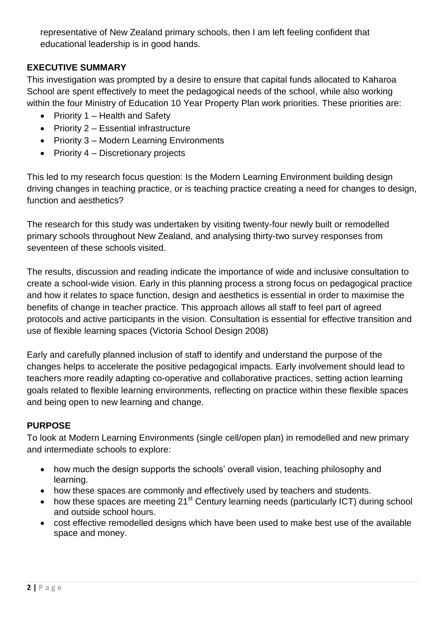representative of New Zealand primary schools, then I am left feeling confident that educational leadership is in good hands.

# **EXECUTIVE SUMMARY**

This investigation was prompted by a desire to ensure that capital funds allocated to Kaharoa School are spent effectively to meet the pedagogical needs of the school, while also working within the four Ministry of Education 10 Year Property Plan work priorities. These priorities are:

- Priority  $1$  Health and Safety
- Priority 2 Essential infrastructure
- Priority 3 Modern Learning Environments
- Priority  $4 -$  Discretionary projects

This led to my research focus question: Is the Modern Learning Environment building design driving changes in teaching practice, or is teaching practice creating a need for changes to design, function and aesthetics?

The research for this study was undertaken by visiting twenty-four newly built or remodelled primary schools throughout New Zealand, and analysing thirty-two survey responses from seventeen of these schools visited.

The results, discussion and reading indicate the importance of wide and inclusive consultation to create a school-wide vision. Early in this planning process a strong focus on pedagogical practice and how it relates to space function, design and aesthetics is essential in order to maximise the benefits of change in teacher practice. This approach allows all staff to feel part of agreed protocols and active participants in the vision. Consultation is essential for effective transition and use of flexible learning spaces (Victoria School Design 2008)

Early and carefully planned inclusion of staff to identify and understand the purpose of the changes helps to accelerate the positive pedagogical impacts. Early involvement should lead to teachers more readily adapting co-operative and collaborative practices, setting action learning goals related to flexible learning environments, reflecting on practice within these flexible spaces and being open to new learning and change.

# **PURPOSE**

To look at Modern Learning Environments (single cell/open plan) in remodelled and new primary and intermediate schools to explore:

- how much the design supports the schools' overall vision, teaching philosophy and learning.
- how these spaces are commonly and effectively used by teachers and students.
- how these spaces are meeting  $21^{st}$  Century learning needs (particularly ICT) during school and outside school hours.
- cost effective remodelled designs which have been used to make best use of the available space and money.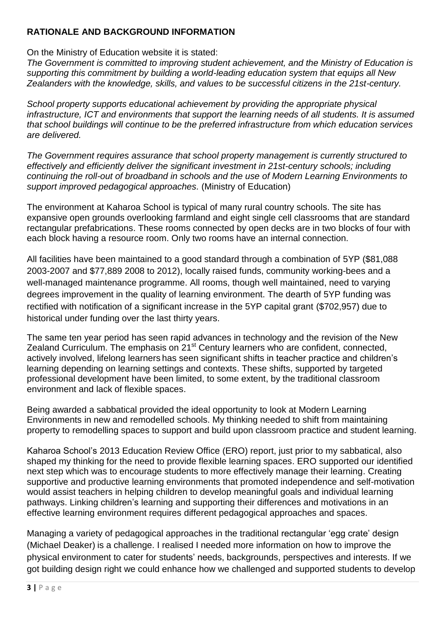# **RATIONALE AND BACKGROUND INFORMATION**

On the Ministry of Education website it is stated:

*The Government is committed to improving student achievement, and the Ministry of Education is supporting this commitment by building a world-leading education system that equips all New Zealanders with the knowledge, skills, and values to be successful citizens in the 21st-century.*

*School property supports educational achievement by providing the appropriate physical infrastructure, ICT and environments that support the learning needs of all students. It is assumed that school buildings will continue to be the preferred infrastructure from which education services are delivered.*

*The Government requires assurance that school property management is currently structured to effectively and efficiently deliver the significant investment in 21st-century schools; including continuing the roll-out of broadband in schools and the use of Modern Learning Environments to support improved pedagogical approaches.* (Ministry of Education)

The environment at Kaharoa School is typical of many rural country schools. The site has expansive open grounds overlooking farmland and eight single cell classrooms that are standard rectangular prefabrications. These rooms connected by open decks are in two blocks of four with each block having a resource room. Only two rooms have an internal connection.

All facilities have been maintained to a good standard through a combination of 5YP (\$81,088 2003-2007 and \$77,889 2008 to 2012), locally raised funds, community working-bees and a well-managed maintenance programme. All rooms, though well maintained, need to varying degrees improvement in the quality of learning environment. The dearth of 5YP funding was rectified with notification of a significant increase in the 5YP capital grant (\$702,957) due to historical under funding over the last thirty years.

The same ten year period has seen rapid advances in technology and the revision of the New Zealand Curriculum. The emphasis on 21<sup>st</sup> Century learners who are confident, connected, actively involved, lifelong learners has seen significant shifts in teacher practice and children's learning depending on learning settings and contexts. These shifts, supported by targeted professional development have been limited, to some extent, by the traditional classroom environment and lack of flexible spaces.

Being awarded a sabbatical provided the ideal opportunity to look at Modern Learning Environments in new and remodelled schools. My thinking needed to shift from maintaining property to remodelling spaces to support and build upon classroom practice and student learning.

Kaharoa School's 2013 Education Review Office (ERO) report, just prior to my sabbatical, also shaped my thinking for the need to provide flexible learning spaces. ERO supported our identified next step which was to encourage students to more effectively manage their learning. Creating supportive and productive learning environments that promoted independence and self-motivation would assist teachers in helping children to develop meaningful goals and individual learning pathways. Linking children's learning and supporting their differences and motivations in an effective learning environment requires different pedagogical approaches and spaces.

Managing a variety of pedagogical approaches in the traditional rectangular 'egg crate' design (Michael Deaker) is a challenge. I realised I needed more information on how to improve the physical environment to cater for students' needs, backgrounds, perspectives and interests. If we got building design right we could enhance how we challenged and supported students to develop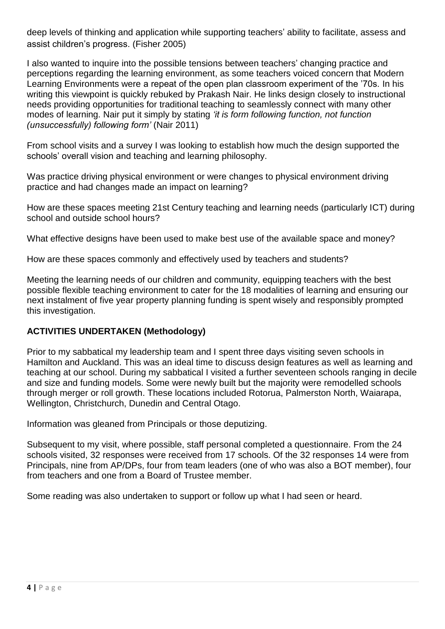deep levels of thinking and application while supporting teachers' ability to facilitate, assess and assist children's progress. (Fisher 2005)

I also wanted to inquire into the possible tensions between teachers' changing practice and perceptions regarding the learning environment, as some teachers voiced concern that Modern Learning Environments were a repeat of the open plan classroom experiment of the '70s. In his writing this viewpoint is quickly rebuked by Prakash Nair. He links design closely to instructional needs providing opportunities for traditional teaching to seamlessly connect with many other modes of learning. Nair put it simply by stating *'it is form following function, not function (unsuccessfully) following form'* (Nair 2011)

From school visits and a survey I was looking to establish how much the design supported the schools' overall vision and teaching and learning philosophy.

Was practice driving physical environment or were changes to physical environment driving practice and had changes made an impact on learning?

How are these spaces meeting 21st Century teaching and learning needs (particularly ICT) during school and outside school hours?

What effective designs have been used to make best use of the available space and money?

How are these spaces commonly and effectively used by teachers and students?

Meeting the learning needs of our children and community, equipping teachers with the best possible flexible teaching environment to cater for the 18 modalities of learning and ensuring our next instalment of five year property planning funding is spent wisely and responsibly prompted this investigation.

# **ACTIVITIES UNDERTAKEN (Methodology)**

Prior to my sabbatical my leadership team and I spent three days visiting seven schools in Hamilton and Auckland. This was an ideal time to discuss design features as well as learning and teaching at our school. During my sabbatical I visited a further seventeen schools ranging in decile and size and funding models. Some were newly built but the majority were remodelled schools through merger or roll growth. These locations included Rotorua, Palmerston North, Waiarapa, Wellington, Christchurch, Dunedin and Central Otago.

Information was gleaned from Principals or those deputizing.

Subsequent to my visit, where possible, staff personal completed a questionnaire. From the 24 schools visited, 32 responses were received from 17 schools. Of the 32 responses 14 were from Principals, nine from AP/DPs, four from team leaders (one of who was also a BOT member), four from teachers and one from a Board of Trustee member.

Some reading was also undertaken to support or follow up what I had seen or heard.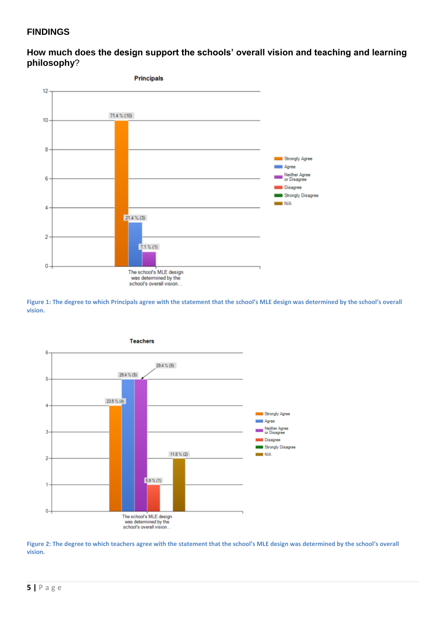#### **FINDINGS**

**How much does the design support the schools' overall vision and teaching and learning philosophy**?



**Figure 1: The degree to which Principals agree with the statement that the school's MLE design was determined by the school's overall vision.**



**Figure 2: The degree to which teachers agree with the statement that the school's MLE design was determined by the school's overall vision.**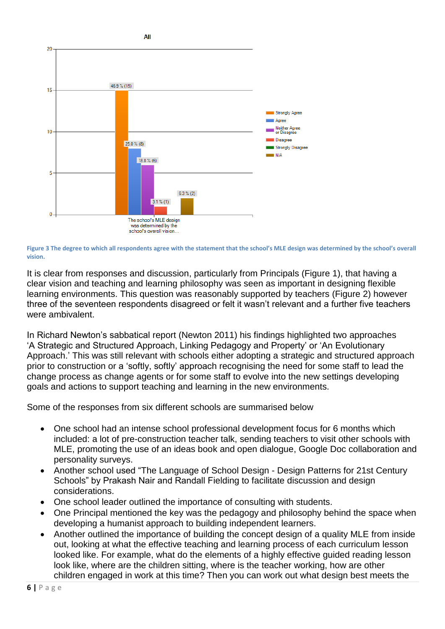

**Figure 3 The degree to which all respondents agree with the statement that the school's MLE design was determined by the school's overall vision.**

It is clear from responses and discussion, particularly from Principals (Figure 1), that having a clear vision and teaching and learning philosophy was seen as important in designing flexible learning environments. This question was reasonably supported by teachers (Figure 2) however three of the seventeen respondents disagreed or felt it wasn't relevant and a further five teachers were ambivalent.

In Richard Newton's sabbatical report (Newton 2011) his findings highlighted two approaches 'A Strategic and Structured Approach, Linking Pedagogy and Property' or 'An Evolutionary Approach.' This was still relevant with schools either adopting a strategic and structured approach prior to construction or a 'softly, softly' approach recognising the need for some staff to lead the change process as change agents or for some staff to evolve into the new settings developing goals and actions to support teaching and learning in the new environments.

Some of the responses from six different schools are summarised below

- One school had an intense school professional development focus for 6 months which included: a lot of pre-construction teacher talk, sending teachers to visit other schools with MLE, promoting the use of an ideas book and open dialogue, Google Doc collaboration and personality surveys.
- Another school used "The Language of School Design Design Patterns for 21st Century Schools" by Prakash Nair and Randall Fielding to facilitate discussion and design considerations.
- One school leader outlined the importance of consulting with students.
- One Principal mentioned the key was the pedagogy and philosophy behind the space when developing a humanist approach to building independent learners.
- Another outlined the importance of building the concept design of a quality MLE from inside out, looking at what the effective teaching and learning process of each curriculum lesson looked like. For example, what do the elements of a highly effective guided reading lesson look like, where are the children sitting, where is the teacher working, how are other children engaged in work at this time? Then you can work out what design best meets the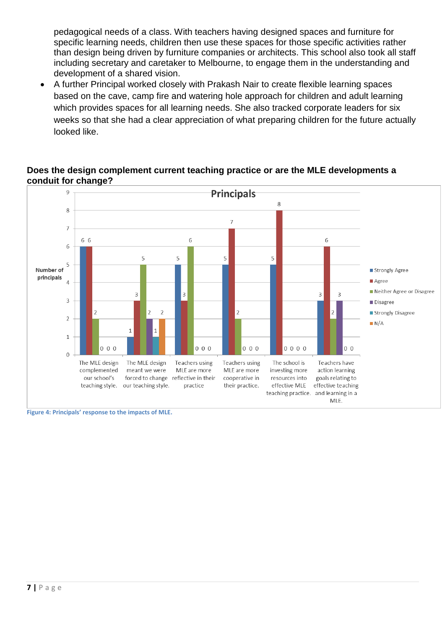pedagogical needs of a class. With teachers having designed spaces and furniture for specific learning needs, children then use these spaces for those specific activities rather than design being driven by furniture companies or architects. This school also took all staff including secretary and caretaker to Melbourne, to engage them in the understanding and development of a shared vision.

 A further Principal worked closely with Prakash Nair to create flexible learning spaces based on the cave, camp fire and watering hole approach for children and adult learning which provides spaces for all learning needs. She also tracked corporate leaders for six weeks so that she had a clear appreciation of what preparing children for the future actually looked like.

### **Does the design complement current teaching practice or are the MLE developments a conduit for change?**



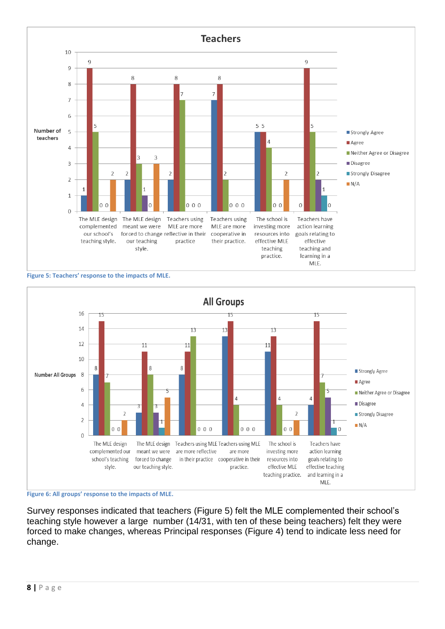





**Figure 6: All groups' response to the impacts of MLE.**

Survey responses indicated that teachers (Figure 5) felt the MLE complemented their school's teaching style however a large number (14/31, with ten of these being teachers) felt they were forced to make changes, whereas Principal responses (Figure 4) tend to indicate less need for change.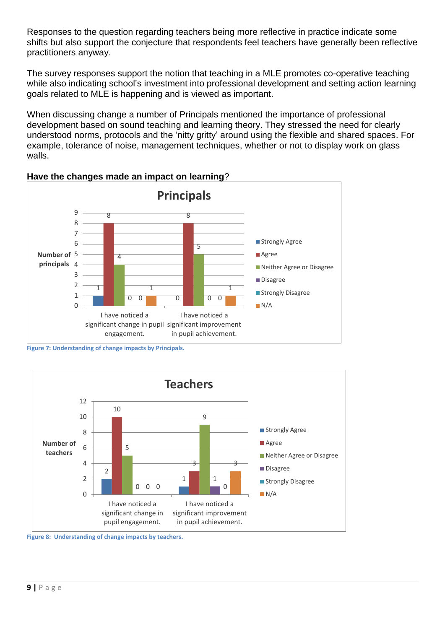Responses to the question regarding teachers being more reflective in practice indicate some shifts but also support the conjecture that respondents feel teachers have generally been reflective practitioners anyway.

The survey responses support the notion that teaching in a MLE promotes co-operative teaching while also indicating school's investment into professional development and setting action learning goals related to MLE is happening and is viewed as important.

When discussing change a number of Principals mentioned the importance of professional development based on sound teaching and learning theory. They stressed the need for clearly understood norms, protocols and the 'nitty gritty' around using the flexible and shared spaces. For example, tolerance of noise, management techniques, whether or not to display work on glass walls.





**Figure 7: Understanding of change impacts by Principals.**



**Figure 8: Understanding of change impacts by teachers.**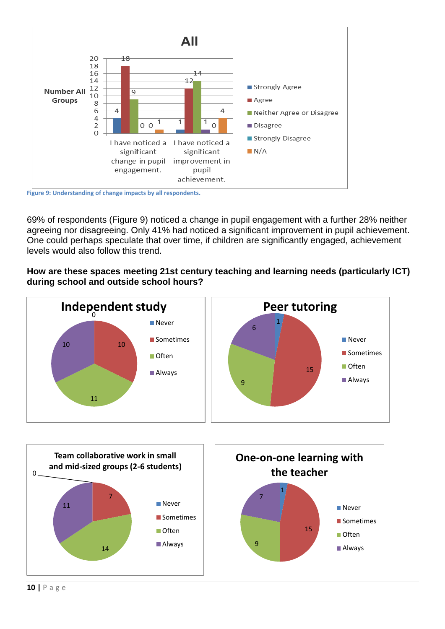

**Figure 9: Understanding of change impacts by all respondents.**

69% of respondents (Figure 9) noticed a change in pupil engagement with a further 28% neither agreeing nor disagreeing. Only 41% had noticed a significant improvement in pupil achievement. One could perhaps speculate that over time, if children are significantly engaged, achievement levels would also follow this trend.

### **How are these spaces meeting 21st century teaching and learning needs (particularly ICT) during school and outside school hours?**



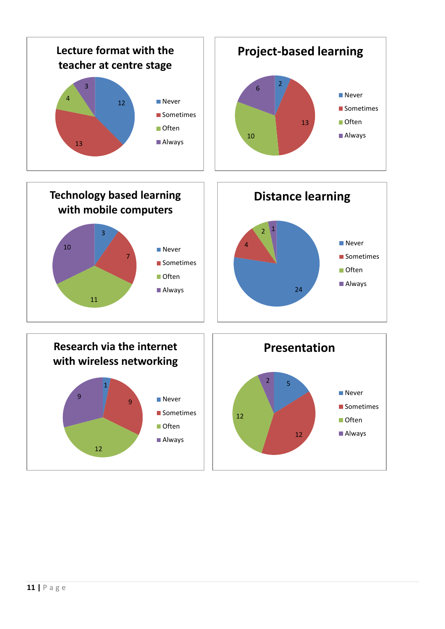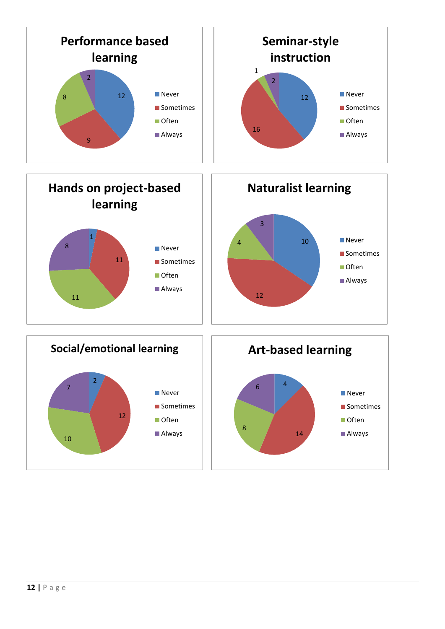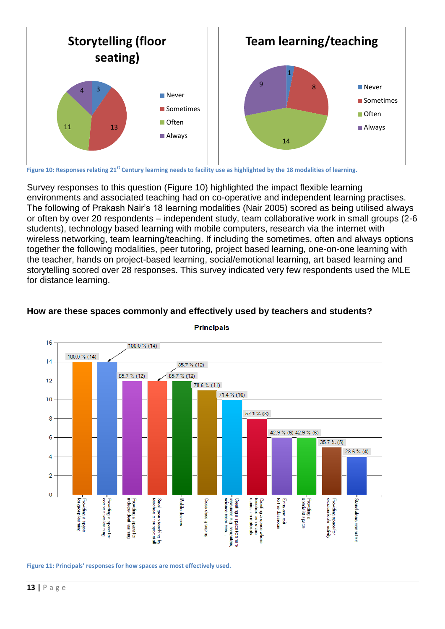

**Figure 10: Responses relating 21st Century learning needs to facility use as highlighted by the 18 modalities of learning.**

Survey responses to this question (Figure 10) highlighted the impact flexible learning environments and associated teaching had on co-operative and independent learning practises. The following of Prakash Nair's 18 learning modalities (Nair 2005) scored as being utilised always or often by over 20 respondents – independent study, team collaborative work in small groups (2-6 students), technology based learning with mobile computers, research via the internet with wireless networking, team learning/teaching. If including the sometimes, often and always options together the following modalities, peer tutoring, project based learning, one-on-one learning with the teacher, hands on project-based learning, social/emotional learning, art based learning and storytelling scored over 28 responses. This survey indicated very few respondents used the MLE for distance learning.



**How are these spaces commonly and effectively used by teachers and students?**

**Figure 11: Principals' responses for how spaces are most effectively used.**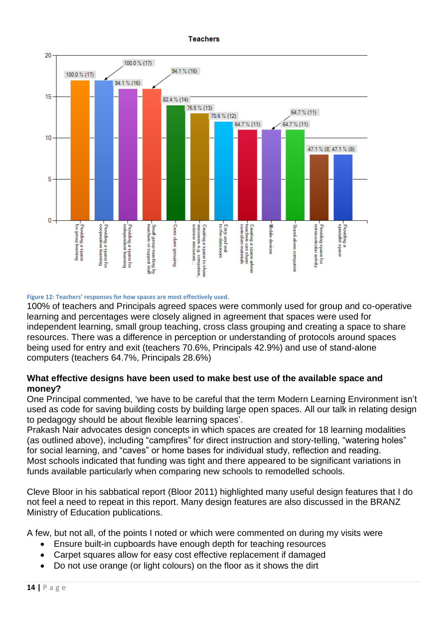**Teachers** 



**Figure 12: Teachers' responses for how spaces are most effectively used.**

100% of teachers and Principals agreed spaces were commonly used for group and co-operative learning and percentages were closely aligned in agreement that spaces were used for independent learning, small group teaching, cross class grouping and creating a space to share resources. There was a difference in perception or understanding of protocols around spaces being used for entry and exit (teachers 70.6%, Principals 42.9%) and use of stand-alone computers (teachers 64.7%, Principals 28.6%)

# **What effective designs have been used to make best use of the available space and money?**

One Principal commented, 'we have to be careful that the term Modern Learning Environment isn't used as code for saving building costs by building large open spaces. All our talk in relating design to pedagogy should be about flexible learning spaces'.

Prakash Nair advocates design concepts in which spaces are created for 18 learning modalities (as outlined above), including "campfires" for direct instruction and story-telling, "watering holes" for social learning, and "caves" or home bases for individual study, reflection and reading. Most schools indicated that funding was tight and there appeared to be significant variations in funds available particularly when comparing new schools to remodelled schools.

Cleve Bloor in his sabbatical report (Bloor 2011) highlighted many useful design features that I do not feel a need to repeat in this report. Many design features are also discussed in the BRANZ Ministry of Education publications.

A few, but not all, of the points I noted or which were commented on during my visits were

- Ensure built-in cupboards have enough depth for teaching resources
- Carpet squares allow for easy cost effective replacement if damaged
- Do not use orange (or light colours) on the floor as it shows the dirt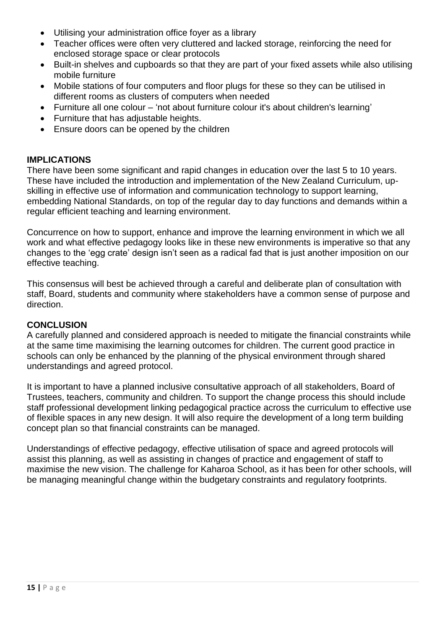- Utilising your administration office foyer as a library
- Teacher offices were often very cluttered and lacked storage, reinforcing the need for enclosed storage space or clear protocols
- Built-in shelves and cupboards so that they are part of your fixed assets while also utilising mobile furniture
- Mobile stations of four computers and floor plugs for these so they can be utilised in different rooms as clusters of computers when needed
- Furniture all one colour 'not about furniture colour it's about children's learning'
- Furniture that has adjustable heights.
- Ensure doors can be opened by the children

#### **IMPLICATIONS**

There have been some significant and rapid changes in education over the last 5 to 10 years. These have included the introduction and implementation of the New Zealand Curriculum, upskilling in effective use of information and communication technology to support learning, embedding National Standards, on top of the regular day to day functions and demands within a regular efficient teaching and learning environment.

Concurrence on how to support, enhance and improve the learning environment in which we all work and what effective pedagogy looks like in these new environments is imperative so that any changes to the 'egg crate' design isn't seen as a radical fad that is just another imposition on our effective teaching.

This consensus will best be achieved through a careful and deliberate plan of consultation with staff, Board, students and community where stakeholders have a common sense of purpose and direction.

#### **CONCLUSION**

A carefully planned and considered approach is needed to mitigate the financial constraints while at the same time maximising the learning outcomes for children. The current good practice in schools can only be enhanced by the planning of the physical environment through shared understandings and agreed protocol.

It is important to have a planned inclusive consultative approach of all stakeholders, Board of Trustees, teachers, community and children. To support the change process this should include staff professional development linking pedagogical practice across the curriculum to effective use of flexible spaces in any new design. It will also require the development of a long term building concept plan so that financial constraints can be managed.

Understandings of effective pedagogy, effective utilisation of space and agreed protocols will assist this planning, as well as assisting in changes of practice and engagement of staff to maximise the new vision. The challenge for Kaharoa School, as it has been for other schools, will be managing meaningful change within the budgetary constraints and regulatory footprints.